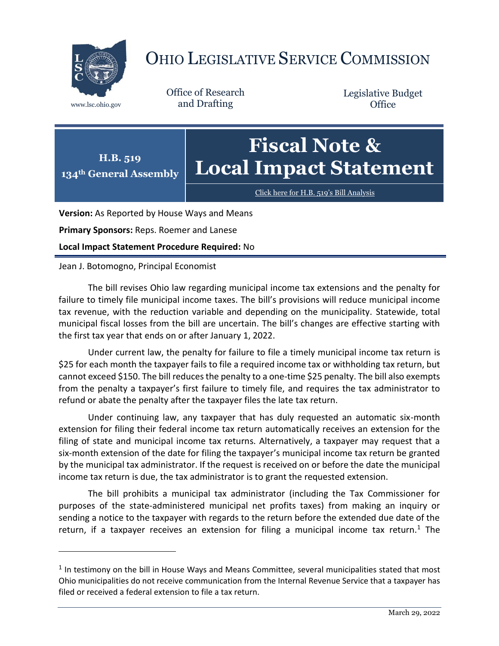

 $\overline{a}$ 

## OHIO LEGISLATIVE SERVICE COMMISSION

Office of Research www.lsc.ohio.gov and Drafting

Legislative Budget **Office** 



[Click here for H.B. 519](https://www.legislature.ohio.gov/legislation/legislation-documents?id=GA134-HB-519)'s Bill Analysis

**Version:** As Reported by House Ways and Means

**Primary Sponsors:** Reps. Roemer and Lanese

**Local Impact Statement Procedure Required:** No

## Jean J. Botomogno, Principal Economist

The bill revises Ohio law regarding municipal income tax extensions and the penalty for failure to timely file municipal income taxes. The bill's provisions will reduce municipal income tax revenue, with the reduction variable and depending on the municipality. Statewide, total municipal fiscal losses from the bill are uncertain. The bill's changes are effective starting with the first tax year that ends on or after January 1, 2022.

Under current law, the penalty for failure to file a timely municipal income tax return is \$25 for each month the taxpayer fails to file a required income tax or withholding tax return, but cannot exceed \$150. The bill reduces the penalty to a one-time \$25 penalty. The bill also exempts from the penalty a taxpayer's first failure to timely file, and requires the tax administrator to refund or abate the penalty after the taxpayer files the late tax return.

Under continuing law, any taxpayer that has duly requested an automatic six-month extension for filing their federal income tax return automatically receives an extension for the filing of state and municipal income tax returns. Alternatively, a taxpayer may request that a six-month extension of the date for filing the taxpayer's municipal income tax return be granted by the municipal tax administrator. If the request is received on or before the date the municipal income tax return is due, the tax administrator is to grant the requested extension.

The bill prohibits a municipal tax administrator (including the Tax Commissioner for purposes of the state-administered municipal net profits taxes) from making an inquiry or sending a notice to the taxpayer with regards to the return before the extended due date of the return, if a taxpayer receives an extension for filing a municipal income tax return.<sup>1</sup> The

 $<sup>1</sup>$  In testimony on the bill in House Ways and Means Committee, several municipalities stated that most</sup> Ohio municipalities do not receive communication from the Internal Revenue Service that a taxpayer has filed or received a federal extension to file a tax return.